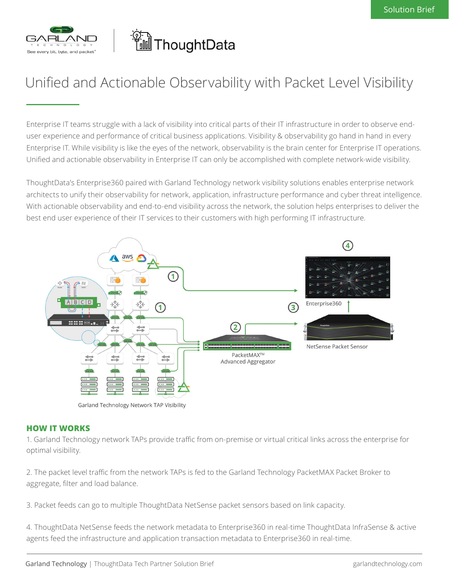

# 

# Unified and Actionable Observability with Packet Level Visibility

Enterprise IT teams struggle with a lack of visibility into critical parts of their IT infrastructure in order to observe enduser experience and performance of critical business applications. Visibility & observability go hand in hand in every Enterprise IT. While visibility is like the eyes of the network, observability is the brain center for Enterprise IT operations. Unified and actionable observability in Enterprise IT can only be accomplished with complete network-wide visibility.

ThoughtData's Enterprise360 paired with Garland Technology network visibility solutions enables enterprise network architects to unify their observability for network, application, infrastructure performance and cyber threat intelligence. With actionable observability and end-to-end visibility across the network, the solution helps enterprises to deliver the best end user experience of their IT services to their customers with high performing IT infrastructure.



Garland Technology Network TAP Visibility

#### **HOW IT WORKS**

1. Garland Technology network TAPs provide traffic from on-premise or virtual critical links across the enterprise for optimal visibility.

2. The packet level traffic from the network TAPs is fed to the Garland Technology PacketMAX Packet Broker to aggregate, filter and load balance.

3. Packet feeds can go to multiple ThoughtData NetSense packet sensors based on link capacity.

4. ThoughtData NetSense feeds the network metadata to Enterprise360 in real-time ThoughtData InfraSense & active agents feed the infrastructure and application transaction metadata to Enterprise360 in real-time.